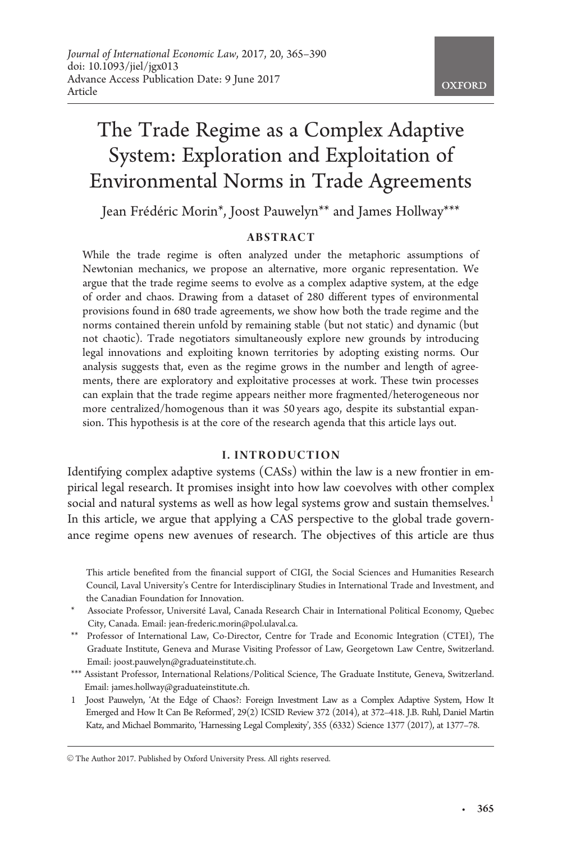# The Trade Regime as a Complex Adaptive System: Exploration and Exploitation of Environmental Norms in Trade Agreements

Jean Frédéric Morin\*, Joost Pauwelyn\*\* and James Hollway\*\*\*

#### **ABSTRACT**

While the trade regime is often analyzed under the metaphoric assumptions of Newtonian mechanics, we propose an alternative, more organic representation. We argue that the trade regime seems to evolve as a complex adaptive system, at the edge of order and chaos. Drawing from a dataset of 280 different types of environmental provisions found in 680 trade agreements, we show how both the trade regime and the norms contained therein unfold by remaining stable (but not static) and dynamic (but not chaotic). Trade negotiators simultaneously explore new grounds by introducing legal innovations and exploiting known territories by adopting existing norms. Our analysis suggests that, even as the regime grows in the number and length of agreements, there are exploratory and exploitative processes at work. These twin processes can explain that the trade regime appears neither more fragmented/heterogeneous nor more centralized/homogenous than it was 50 years ago, despite its substantial expansion. This hypothesis is at the core of the research agenda that this article lays out.

#### I. INTRODUCTION

Identifying complex adaptive systems (CASs) within the law is a new frontier in empirical legal research. It promises insight into how law coevolves with other complex social and natural systems as well as how legal systems grow and sustain themselves.<sup>1</sup> In this article, we argue that applying a CAS perspective to the global trade governance regime opens new avenues of research. The objectives of this article are thus

This article benefited from the financial support of CIGI, the Social Sciences and Humanities Research Council, Laval University's Centre for Interdisciplinary Studies in International Trade and Investment, and the Canadian Foundation for Innovation.

- Associate Professor, Université Laval, Canada Research Chair in International Political Economy, Quebec City, Canada. Email: jean-frederic.morin@pol.ulaval.ca.
- \*\* Professor of International Law, Co-Director, Centre for Trade and Economic Integration (CTEI), The Graduate Institute, Geneva and Murase Visiting Professor of Law, Georgetown Law Centre, Switzerland. Email: joost.pauwelyn@graduateinstitute.ch.
- \*\*\* Assistant Professor, International Relations/Political Science, The Graduate Institute, Geneva, Switzerland. Email: james.hollway@graduateinstitute.ch.
- 1 Joost Pauwelyn, 'At the Edge of Chaos?: Foreign Investment Law as a Complex Adaptive System, How It Emerged and How It Can Be Reformed', 29(2) ICSID Review 372 (2014), at 372–418. J.B. Ruhl, Daniel Martin Katz, and Michael Bommarito, 'Harnessing Legal Complexity', 355 (6332) Science 1377 (2017), at 1377–78.

© The Author 2017. Published by Oxford University Press. All rights reserved.

-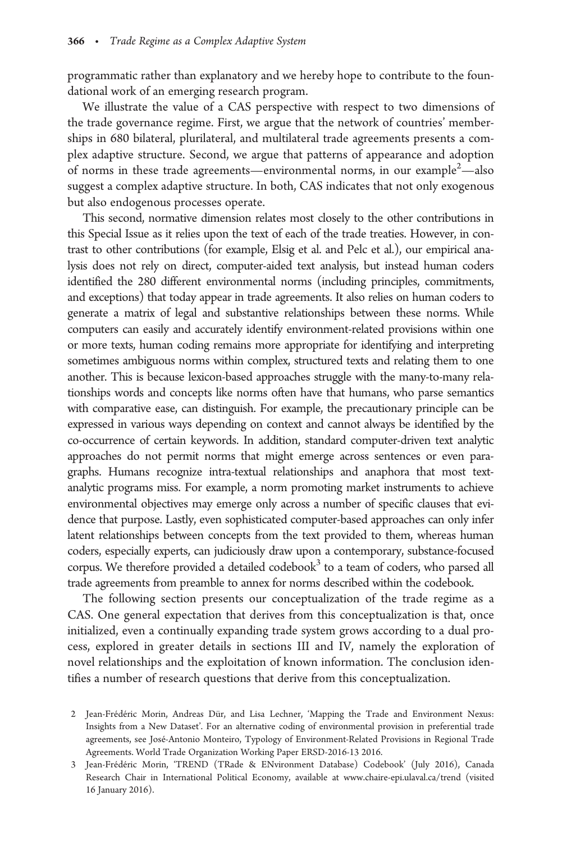programmatic rather than explanatory and we hereby hope to contribute to the foundational work of an emerging research program.

We illustrate the value of a CAS perspective with respect to two dimensions of the trade governance regime. First, we argue that the network of countries' memberships in 680 bilateral, plurilateral, and multilateral trade agreements presents a complex adaptive structure. Second, we argue that patterns of appearance and adoption of norms in these trade agreements—environmental norms, in our example<sup>2</sup>—also suggest a complex adaptive structure. In both, CAS indicates that not only exogenous but also endogenous processes operate.

This second, normative dimension relates most closely to the other contributions in this Special Issue as it relies upon the text of each of the trade treaties. However, in contrast to other contributions (for example, Elsig et al. and Pelc et al.), our empirical analysis does not rely on direct, computer-aided text analysis, but instead human coders identified the 280 different environmental norms (including principles, commitments, and exceptions) that today appear in trade agreements. It also relies on human coders to generate a matrix of legal and substantive relationships between these norms. While computers can easily and accurately identify environment-related provisions within one or more texts, human coding remains more appropriate for identifying and interpreting sometimes ambiguous norms within complex, structured texts and relating them to one another. This is because lexicon-based approaches struggle with the many-to-many relationships words and concepts like norms often have that humans, who parse semantics with comparative ease, can distinguish. For example, the precautionary principle can be expressed in various ways depending on context and cannot always be identified by the co-occurrence of certain keywords. In addition, standard computer-driven text analytic approaches do not permit norms that might emerge across sentences or even paragraphs. Humans recognize intra-textual relationships and anaphora that most textanalytic programs miss. For example, a norm promoting market instruments to achieve environmental objectives may emerge only across a number of specific clauses that evidence that purpose. Lastly, even sophisticated computer-based approaches can only infer latent relationships between concepts from the text provided to them, whereas human coders, especially experts, can judiciously draw upon a contemporary, substance-focused corpus. We therefore provided a detailed codebook $3$  to a team of coders, who parsed all trade agreements from preamble to annex for norms described within the codebook.

The following section presents our conceptualization of the trade regime as a CAS. One general expectation that derives from this conceptualization is that, once initialized, even a continually expanding trade system grows according to a dual process, explored in greater details in sections III and IV, namely the exploration of novel relationships and the exploitation of known information. The conclusion identifies a number of research questions that derive from this conceptualization.

<sup>2</sup> Jean-Frédéric Morin, Andreas Dür, and Lisa Lechner, 'Mapping the Trade and Environment Nexus: Insights from a New Dataset'. For an alternative coding of environmental provision in preferential trade agreements, see José-Antonio Monteiro, Typology of Environment-Related Provisions in Regional Trade Agreements. World Trade Organization Working Paper ERSD-2016-13 2016.

<sup>3</sup> Jean-Frédéric Morin, 'TREND (TRade & ENvironment Database) Codebook' (July 2016), Canada Research Chair in International Political Economy, available at [www.chaire-epi.ulaval.ca/trend](http://www.chaire-epi.ulaval.ca/trend) (visited 16 January 2016).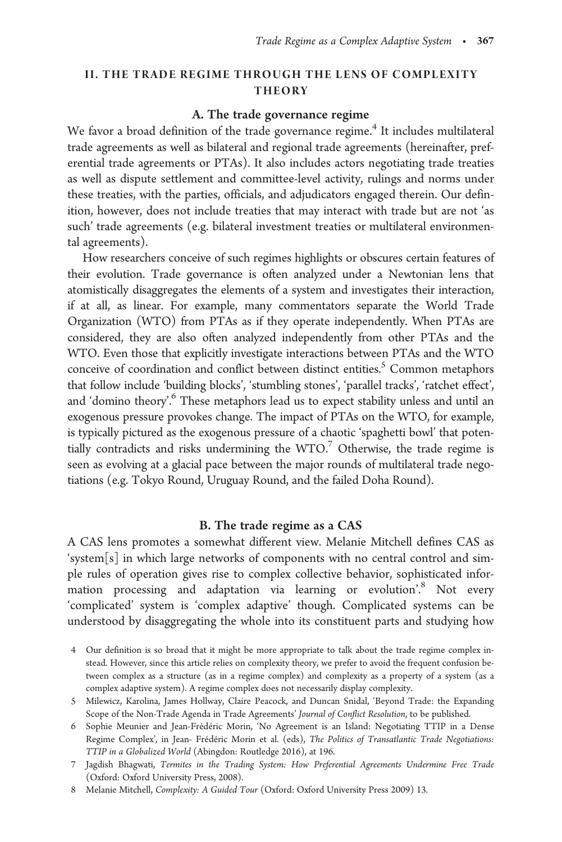## II. THE TRADE REGIME THROUGH THE LENS OF COMPLEXITY **THEORY**

## A. The trade governance regime

We favor a broad definition of the trade governance regime.<sup>4</sup> It includes multilateral trade agreements as well as bilateral and regional trade agreements (hereinafter, preferential trade agreements or PTAs). It also includes actors negotiating trade treaties as well as dispute settlement and committee-level activity, rulings and norms under these treaties, with the parties, officials, and adjudicators engaged therein. Our definition, however, does not include treaties that may interact with trade but are not 'as such' trade agreements (e.g. bilateral investment treaties or multilateral environmental agreements).

How researchers conceive of such regimes highlights or obscures certain features of their evolution. Trade governance is often analyzed under a Newtonian lens that atomistically disaggregates the elements of a system and investigates their interaction, if at all, as linear. For example, many commentators separate the World Trade Organization (WTO) from PTAs as if they operate independently. When PTAs are considered, they are also often analyzed independently from other PTAs and the WTO. Even those that explicitly investigate interactions between PTAs and the WTO conceive of coordination and conflict between distinct entities.<sup>5</sup> Common metaphors that follow include 'building blocks', 'stumbling stones', 'parallel tracks', 'ratchet effect', and 'domino theory'.<sup>6</sup> These metaphors lead us to expect stability unless and until an exogenous pressure provokes change. The impact of PTAs on the WTO, for example, is typically pictured as the exogenous pressure of a chaotic 'spaghetti bowl' that potentially contradicts and risks undermining the  $WTO<sup>7</sup>$  Otherwise, the trade regime is seen as evolving at a glacial pace between the major rounds of multilateral trade negotiations (e.g. Tokyo Round, Uruguay Round, and the failed Doha Round).

#### B. The trade regime as a CAS

A CAS lens promotes a somewhat different view. Melanie Mitchell defines CAS as 'system[s] in which large networks of components with no central control and simple rules of operation gives rise to complex collective behavior, sophisticated information processing and adaptation via learning or evolution'.8 Not every 'complicated' system is 'complex adaptive' though. Complicated systems can be understood by disaggregating the whole into its constituent parts and studying how

<sup>4</sup> Our definition is so broad that it might be more appropriate to talk about the trade regime complex instead. However, since this article relies on complexity theory, we prefer to avoid the frequent confusion between complex as a structure (as in a regime complex) and complexity as a property of a system (as a complex adaptive system). A regime complex does not necessarily display complexity.

<sup>5</sup> Milewicz, Karolina, James Hollway, Claire Peacock, and Duncan Snidal, 'Beyond Trade: the Expanding Scope of the Non-Trade Agenda in Trade Agreements' Journal of Conflict Resolution, to be published.

<sup>6</sup> Sophie Meunier and Jean-Frédéric Morin, 'No Agreement is an Island: Negotiating TTIP in a Dense Regime Complex', in Jean- Frédéric Morin et al. (eds), The Politics of Transatlantic Trade Negotiations: TTIP in a Globalized World (Abingdon: Routledge 2016), at 196.

<sup>7</sup> Jagdish Bhagwati, Termites in the Trading System: How Preferential Agreements Undermine Free Trade (Oxford: Oxford University Press, 2008).

<sup>8</sup> Melanie Mitchell, Complexity: A Guided Tour (Oxford: Oxford University Press 2009) 13.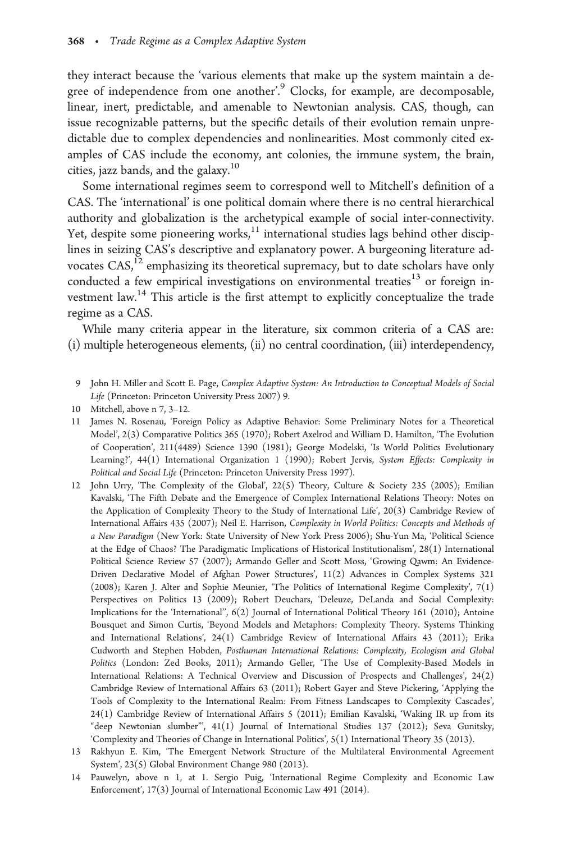they interact because the 'various elements that make up the system maintain a degree of independence from one another'.9 Clocks, for example, are decomposable, linear, inert, predictable, and amenable to Newtonian analysis. CAS, though, can issue recognizable patterns, but the specific details of their evolution remain unpredictable due to complex dependencies and nonlinearities. Most commonly cited examples of CAS include the economy, ant colonies, the immune system, the brain, cities, jazz bands, and the galaxy. $^{10}$ 

Some international regimes seem to correspond well to Mitchell's definition of a CAS. The 'international' is one political domain where there is no central hierarchical authority and globalization is the archetypical example of social inter-connectivity. Yet, despite some pioneering works, $11$  international studies lags behind other disciplines in seizing CAS's descriptive and explanatory power. A burgeoning literature advocates  $CAS<sub>1</sub><sup>12</sup>$  emphasizing its theoretical supremacy, but to date scholars have only conducted a few empirical investigations on environmental treaties $^{13}$  or foreign investment law.14 This article is the first attempt to explicitly conceptualize the trade regime as a CAS.

While many criteria appear in the literature, six common criteria of a CAS are: (i) multiple heterogeneous elements, (ii) no central coordination, (iii) interdependency,

9 John H. Miller and Scott E. Page, Complex Adaptive System: An Introduction to Conceptual Models of Social Life (Princeton: Princeton University Press 2007) 9.

- 11 James N. Rosenau, 'Foreign Policy as Adaptive Behavior: Some Preliminary Notes for a Theoretical Model', 2(3) Comparative Politics 365 (1970); Robert Axelrod and William D. Hamilton, 'The Evolution of Cooperation', 211(4489) Science 1390 (1981); George Modelski, 'Is World Politics Evolutionary Learning?', 44(1) International Organization 1 (1990); Robert Jervis, System Effects: Complexity in Political and Social Life (Princeton: Princeton University Press 1997).
- 12 John Urry, 'The Complexity of the Global', 22(5) Theory, Culture & Society 235 (2005); Emilian Kavalski, 'The Fifth Debate and the Emergence of Complex International Relations Theory: Notes on the Application of Complexity Theory to the Study of International Life', 20(3) Cambridge Review of International Affairs 435 (2007); Neil E. Harrison, Complexity in World Politics: Concepts and Methods of a New Paradigm (New York: State University of New York Press 2006); Shu-Yun Ma, 'Political Science at the Edge of Chaos? The Paradigmatic Implications of Historical Institutionalism', 28(1) International Political Science Review 57 (2007); Armando Geller and Scott Moss, 'Growing Qawm: An Evidence-Driven Declarative Model of Afghan Power Structures', 11(2) Advances in Complex Systems 321 (2008); Karen J. Alter and Sophie Meunier, 'The Politics of International Regime Complexity', 7(1) Perspectives on Politics 13 (2009); Robert Deuchars, 'Deleuze, DeLanda and Social Complexity: Implications for the 'International'', 6(2) Journal of International Political Theory 161 (2010); Antoine Bousquet and Simon Curtis, 'Beyond Models and Metaphors: Complexity Theory. Systems Thinking and International Relations', 24(1) Cambridge Review of International Affairs 43 (2011); Erika Cudworth and Stephen Hobden, Posthuman International Relations: Complexity, Ecologism and Global Politics (London: Zed Books, 2011); Armando Geller, 'The Use of Complexity-Based Models in International Relations: A Technical Overview and Discussion of Prospects and Challenges', 24(2) Cambridge Review of International Affairs 63 (2011); Robert Gayer and Steve Pickering, 'Applying the Tools of Complexity to the International Realm: From Fitness Landscapes to Complexity Cascades', 24(1) Cambridge Review of International Affairs 5 (2011); Emilian Kavalski, 'Waking IR up from its "deep Newtonian slumber"', 41(1) Journal of International Studies 137 (2012); Seva Gunitsky, 'Complexity and Theories of Change in International Politics', 5(1) International Theory 35 (2013).
- 13 Rakhyun E. Kim, 'The Emergent Network Structure of the Multilateral Environmental Agreement System', 23(5) Global Environment Change 980 (2013).
- 14 Pauwelyn, above n 1, at 1. Sergio Puig, 'International Regime Complexity and Economic Law Enforcement', 17(3) Journal of International Economic Law 491 (2014).

<sup>10</sup> Mitchell, above n 7, 3–12.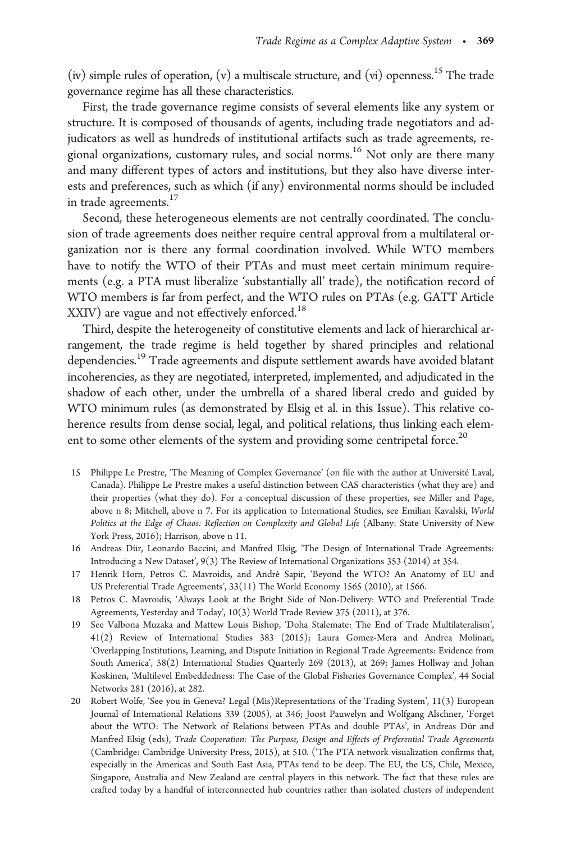(iv) simple rules of operation, (v) a multiscale structure, and (vi) openness.<sup>15</sup> The trade governance regime has all these characteristics.

First, the trade governance regime consists of several elements like any system or structure. It is composed of thousands of agents, including trade negotiators and adjudicators as well as hundreds of institutional artifacts such as trade agreements, regional organizations, customary rules, and social norms.16 Not only are there many and many different types of actors and institutions, but they also have diverse interests and preferences, such as which (if any) environmental norms should be included in trade agreements.<sup>17</sup>

Second, these heterogeneous elements are not centrally coordinated. The conclusion of trade agreements does neither require central approval from a multilateral organization nor is there any formal coordination involved. While WTO members have to notify the WTO of their PTAs and must meet certain minimum requirements (e.g. a PTA must liberalize 'substantially all' trade), the notification record of WTO members is far from perfect, and the WTO rules on PTAs (e.g. GATT Article XXIV) are vague and not effectively enforced.<sup>18</sup>

Third, despite the heterogeneity of constitutive elements and lack of hierarchical arrangement, the trade regime is held together by shared principles and relational dependencies.<sup>19</sup> Trade agreements and dispute settlement awards have avoided blatant incoherencies, as they are negotiated, interpreted, implemented, and adjudicated in the shadow of each other, under the umbrella of a shared liberal credo and guided by WTO minimum rules (as demonstrated by Elsig et al. in this Issue). This relative coherence results from dense social, legal, and political relations, thus linking each element to some other elements of the system and providing some centripetal force.<sup>20</sup>

- 15 Philippe Le Prestre, 'The Meaning of Complex Governance' (on file with the author at Université Laval, Canada). Philippe Le Prestre makes a useful distinction between CAS characteristics (what they are) and their properties (what they do). For a conceptual discussion of these properties, see Miller and Page, above n 8; Mitchell, above n 7. For its application to International Studies, see Emilian Kavalski, World Politics at the Edge of Chaos: Reflection on Complexity and Global Life (Albany: State University of New York Press, 2016); Harrison, above n 11.
- 16 Andreas Dür, Leonardo Baccini, and Manfred Elsig, 'The Design of International Trade Agreements: Introducing a New Dataset', 9(3) The Review of International Organizations 353 (2014) at 354.
- 17 Henrik Horn, Petros C. Mavroidis, and Andre´ Sapir, 'Beyond the WTO? An Anatomy of EU and US Preferential Trade Agreements', 33(11) The World Economy 1565 (2010), at 1566.
- 18 Petros C. Mavroidis, 'Always Look at the Bright Side of Non-Delivery: WTO and Preferential Trade Agreements, Yesterday and Today', 10(3) World Trade Review 375 (2011), at 376.
- 19 See Valbona Muzaka and Mattew Louis Bishop, 'Doha Stalemate: The End of Trade Multilateralism', 41(2) Review of International Studies 383 (2015); Laura Gomez-Mera and Andrea Molinari, 'Overlapping Institutions, Learning, and Dispute Initiation in Regional Trade Agreements: Evidence from South America', 58(2) International Studies Quarterly 269 (2013), at 269; James Hollway and Johan Koskinen, 'Multilevel Embeddedness: The Case of the Global Fisheries Governance Complex', 44 Social Networks 281 (2016), at 282.
- 20 Robert Wolfe, 'See you in Geneva? Legal (Mis)Representations of the Trading System', 11(3) European Journal of International Relations 339 (2005), at 346; Joost Pauwelyn and Wolfgang Alschner, 'Forget about the WTO: The Network of Relations between PTAs and double PTAs', in Andreas Dür and Manfred Elsig (eds), Trade Cooperation: The Purpose, Design and Effects of Preferential Trade Agreements (Cambridge: Cambridge University Press, 2015), at 510. ('The PTA network visualization confirms that, especially in the Americas and South East Asia, PTAs tend to be deep. The EU, the US, Chile, Mexico, Singapore, Australia and New Zealand are central players in this network. The fact that these rules are crafted today by a handful of interconnected hub countries rather than isolated clusters of independent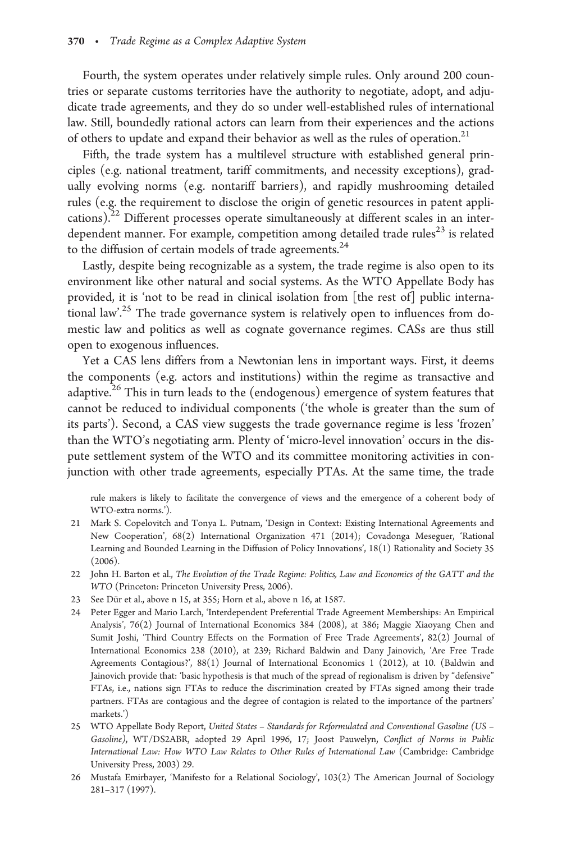Fourth, the system operates under relatively simple rules. Only around 200 countries or separate customs territories have the authority to negotiate, adopt, and adjudicate trade agreements, and they do so under well-established rules of international law. Still, boundedly rational actors can learn from their experiences and the actions of others to update and expand their behavior as well as the rules of operation.<sup>21</sup>

Fifth, the trade system has a multilevel structure with established general principles (e.g. national treatment, tariff commitments, and necessity exceptions), gradually evolving norms (e.g. nontariff barriers), and rapidly mushrooming detailed rules (e.g. the requirement to disclose the origin of genetic resources in patent applications). $^{22}$  Different processes operate simultaneously at different scales in an interdependent manner. For example, competition among detailed trade rules<sup>23</sup> is related to the diffusion of certain models of trade agreements.<sup>24</sup>

Lastly, despite being recognizable as a system, the trade regime is also open to its environment like other natural and social systems. As the WTO Appellate Body has provided, it is 'not to be read in clinical isolation from [the rest of] public international law'.<sup>25</sup> The trade governance system is relatively open to influences from domestic law and politics as well as cognate governance regimes. CASs are thus still open to exogenous influences.

Yet a CAS lens differs from a Newtonian lens in important ways. First, it deems the components (e.g. actors and institutions) within the regime as transactive and adaptive.<sup>26</sup> This in turn leads to the (endogenous) emergence of system features that cannot be reduced to individual components ('the whole is greater than the sum of its parts'). Second, a CAS view suggests the trade governance regime is less 'frozen' than the WTO's negotiating arm. Plenty of 'micro-level innovation' occurs in the dispute settlement system of the WTO and its committee monitoring activities in conjunction with other trade agreements, especially PTAs. At the same time, the trade

rule makers is likely to facilitate the convergence of views and the emergence of a coherent body of WTO-extra norms.').

- 21 Mark S. Copelovitch and Tonya L. Putnam, 'Design in Context: Existing International Agreements and New Cooperation', 68(2) International Organization 471 (2014); Covadonga Meseguer, 'Rational Learning and Bounded Learning in the Diffusion of Policy Innovations', 18(1) Rationality and Society 35 (2006).
- 22 John H. Barton et al., The Evolution of the Trade Regime: Politics, Law and Economics of the GATT and the WTO (Princeton: Princeton University Press, 2006).
- 23 See Dür et al., above n 15, at 355; Horn et al., above n 16, at 1587.
- 24 Peter Egger and Mario Larch, 'Interdependent Preferential Trade Agreement Memberships: An Empirical Analysis', 76(2) Journal of International Economics 384 (2008), at 386; Maggie Xiaoyang Chen and Sumit Joshi, 'Third Country Effects on the Formation of Free Trade Agreements', 82(2) Journal of International Economics 238 (2010), at 239; Richard Baldwin and Dany Jainovich, 'Are Free Trade Agreements Contagious?', 88(1) Journal of International Economics 1 (2012), at 10. (Baldwin and Jainovich provide that: 'basic hypothesis is that much of the spread of regionalism is driven by "defensive" FTAs, i.e., nations sign FTAs to reduce the discrimination created by FTAs signed among their trade partners. FTAs are contagious and the degree of contagion is related to the importance of the partners' markets.')
- 25 WTO Appellate Body Report, United States Standards for Reformulated and Conventional Gasoline (US Gasoline), WT/DS2ABR, adopted 29 April 1996, 17; Joost Pauwelyn, Conflict of Norms in Public International Law: How WTO Law Relates to Other Rules of International Law (Cambridge: Cambridge University Press, 2003) 29.
- 26 Mustafa Emirbayer, 'Manifesto for a Relational Sociology', 103(2) The American Journal of Sociology 281–317 (1997).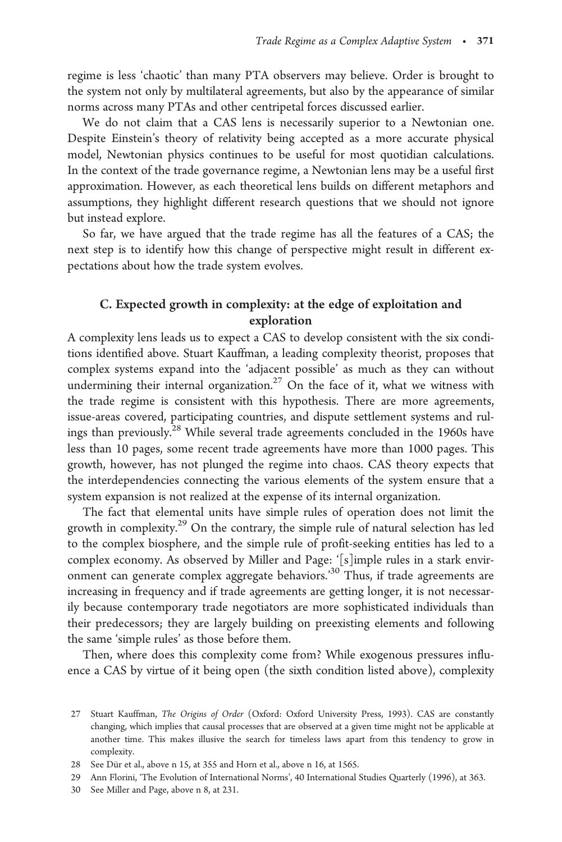regime is less 'chaotic' than many PTA observers may believe. Order is brought to the system not only by multilateral agreements, but also by the appearance of similar norms across many PTAs and other centripetal forces discussed earlier.

We do not claim that a CAS lens is necessarily superior to a Newtonian one. Despite Einstein's theory of relativity being accepted as a more accurate physical model, Newtonian physics continues to be useful for most quotidian calculations. In the context of the trade governance regime, a Newtonian lens may be a useful first approximation. However, as each theoretical lens builds on different metaphors and assumptions, they highlight different research questions that we should not ignore but instead explore.

So far, we have argued that the trade regime has all the features of a CAS; the next step is to identify how this change of perspective might result in different expectations about how the trade system evolves.

# C. Expected growth in complexity: at the edge of exploitation and exploration

A complexity lens leads us to expect a CAS to develop consistent with the six conditions identified above. Stuart Kauffman, a leading complexity theorist, proposes that complex systems expand into the 'adjacent possible' as much as they can without undermining their internal organization.<sup>27</sup> On the face of it, what we witness with the trade regime is consistent with this hypothesis. There are more agreements, issue-areas covered, participating countries, and dispute settlement systems and rulings than previously.28 While several trade agreements concluded in the 1960s have less than 10 pages, some recent trade agreements have more than 1000 pages. This growth, however, has not plunged the regime into chaos. CAS theory expects that the interdependencies connecting the various elements of the system ensure that a system expansion is not realized at the expense of its internal organization.

The fact that elemental units have simple rules of operation does not limit the growth in complexity.<sup>29</sup> On the contrary, the simple rule of natural selection has led to the complex biosphere, and the simple rule of profit-seeking entities has led to a complex economy. As observed by Miller and Page: '[s]imple rules in a stark environment can generate complex aggregate behaviors.'30 Thus, if trade agreements are increasing in frequency and if trade agreements are getting longer, it is not necessarily because contemporary trade negotiators are more sophisticated individuals than their predecessors; they are largely building on preexisting elements and following the same 'simple rules' as those before them.

Then, where does this complexity come from? While exogenous pressures influence a CAS by virtue of it being open (the sixth condition listed above), complexity

- 28 See Dür et al., above n 15, at 355 and Horn et al., above n 16, at 1565.
- 29 Ann Florini, 'The Evolution of International Norms', 40 International Studies Quarterly (1996), at 363.
- 30 See Miller and Page, above n 8, at 231.

<sup>27</sup> Stuart Kauffman, The Origins of Order (Oxford: Oxford University Press, 1993). CAS are constantly changing, which implies that causal processes that are observed at a given time might not be applicable at another time. This makes illusive the search for timeless laws apart from this tendency to grow in complexity.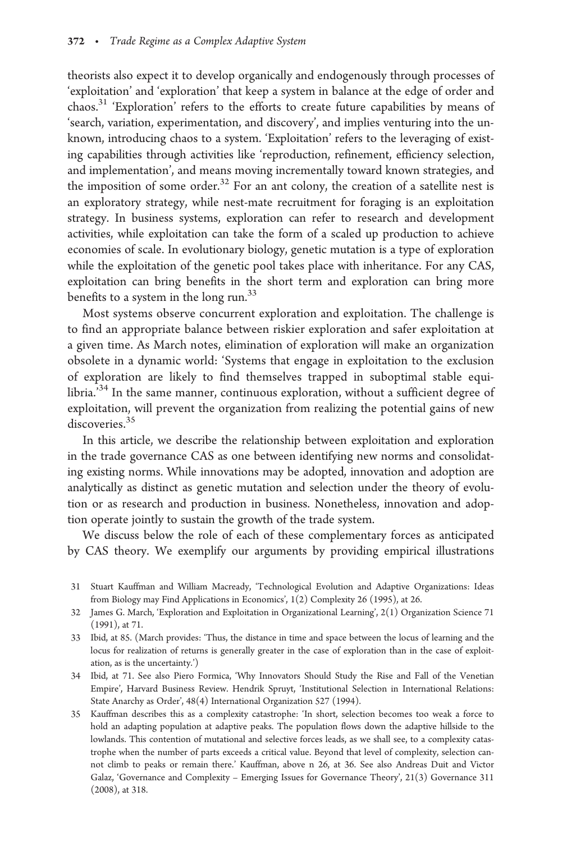theorists also expect it to develop organically and endogenously through processes of 'exploitation' and 'exploration' that keep a system in balance at the edge of order and chaos.31 'Exploration' refers to the efforts to create future capabilities by means of 'search, variation, experimentation, and discovery', and implies venturing into the unknown, introducing chaos to a system. 'Exploitation' refers to the leveraging of existing capabilities through activities like 'reproduction, refinement, efficiency selection, and implementation', and means moving incrementally toward known strategies, and the imposition of some order.<sup>32</sup> For an ant colony, the creation of a satellite nest is an exploratory strategy, while nest-mate recruitment for foraging is an exploitation strategy. In business systems, exploration can refer to research and development activities, while exploitation can take the form of a scaled up production to achieve economies of scale. In evolutionary biology, genetic mutation is a type of exploration while the exploitation of the genetic pool takes place with inheritance. For any CAS, exploitation can bring benefits in the short term and exploration can bring more benefits to a system in the long run.33

Most systems observe concurrent exploration and exploitation. The challenge is to find an appropriate balance between riskier exploration and safer exploitation at a given time. As March notes, elimination of exploration will make an organization obsolete in a dynamic world: 'Systems that engage in exploitation to the exclusion of exploration are likely to find themselves trapped in suboptimal stable equilibria.<sup>34</sup> In the same manner, continuous exploration, without a sufficient degree of exploitation, will prevent the organization from realizing the potential gains of new discoveries<sup>35</sup>

In this article, we describe the relationship between exploitation and exploration in the trade governance CAS as one between identifying new norms and consolidating existing norms. While innovations may be adopted, innovation and adoption are analytically as distinct as genetic mutation and selection under the theory of evolution or as research and production in business. Nonetheless, innovation and adoption operate jointly to sustain the growth of the trade system.

We discuss below the role of each of these complementary forces as anticipated by CAS theory. We exemplify our arguments by providing empirical illustrations

- 31 Stuart Kauffman and William Macready, 'Technological Evolution and Adaptive Organizations: Ideas from Biology may Find Applications in Economics', 1(2) Complexity 26 (1995), at 26.
- 32 James G. March, 'Exploration and Exploitation in Organizational Learning', 2(1) Organization Science 71 (1991), at 71.
- 33 Ibid, at 85. (March provides: 'Thus, the distance in time and space between the locus of learning and the locus for realization of returns is generally greater in the case of exploration than in the case of exploitation, as is the uncertainty.')
- 34 Ibid, at 71. See also Piero Formica, 'Why Innovators Should Study the Rise and Fall of the Venetian Empire', Harvard Business Review. Hendrik Spruyt, 'Institutional Selection in International Relations: State Anarchy as Order', 48(4) International Organization 527 (1994).
- 35 Kauffman describes this as a complexity catastrophe: 'In short, selection becomes too weak a force to hold an adapting population at adaptive peaks. The population flows down the adaptive hillside to the lowlands. This contention of mutational and selective forces leads, as we shall see, to a complexity catastrophe when the number of parts exceeds a critical value. Beyond that level of complexity, selection cannot climb to peaks or remain there.' Kauffman, above n 26, at 36. See also Andreas Duit and Victor Galaz, 'Governance and Complexity – Emerging Issues for Governance Theory', 21(3) Governance 311 (2008), at 318.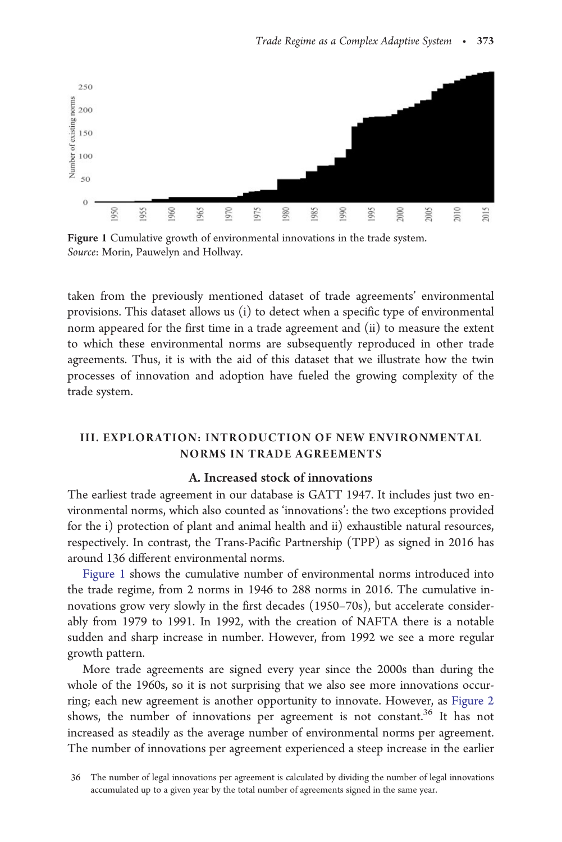<span id="page-8-0"></span>

Figure 1 Cumulative growth of environmental innovations in the trade system. Source: Morin, Pauwelyn and Hollway.

taken from the previously mentioned dataset of trade agreements' environmental provisions. This dataset allows us (i) to detect when a specific type of environmental norm appeared for the first time in a trade agreement and (ii) to measure the extent to which these environmental norms are subsequently reproduced in other trade agreements. Thus, it is with the aid of this dataset that we illustrate how the twin processes of innovation and adoption have fueled the growing complexity of the trade system.

### III. EXPLORATION: INTRODUCTION OF NEW ENVIRONMENTAL NORMS IN TRADE AGREEMENTS

#### A. Increased stock of innovations

The earliest trade agreement in our database is GATT 1947. It includes just two environmental norms, which also counted as 'innovations': the two exceptions provided for the i) protection of plant and animal health and ii) exhaustible natural resources, respectively. In contrast, the Trans-Pacific Partnership (TPP) as signed in 2016 has around 136 different environmental norms.

Figure 1 shows the cumulative number of environmental norms introduced into the trade regime, from 2 norms in 1946 to 288 norms in 2016. The cumulative innovations grow very slowly in the first decades (1950–70s), but accelerate considerably from 1979 to 1991. In 1992, with the creation of NAFTA there is a notable sudden and sharp increase in number. However, from 1992 we see a more regular growth pattern.

More trade agreements are signed every year since the 2000s than during the whole of the 1960s, so it is not surprising that we also see more innovations occurring; each new agreement is another opportunity to innovate. However, as [Figure 2](#page-9-0) shows, the number of innovations per agreement is not constant.<sup>36</sup> It has not increased as steadily as the average number of environmental norms per agreement. The number of innovations per agreement experienced a steep increase in the earlier

<sup>36</sup> The number of legal innovations per agreement is calculated by dividing the number of legal innovations accumulated up to a given year by the total number of agreements signed in the same year.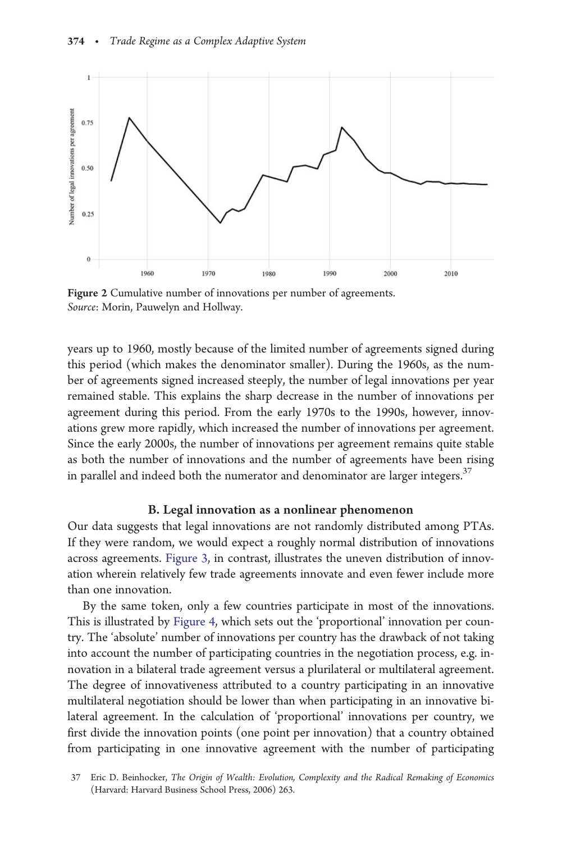<span id="page-9-0"></span>

Figure 2 Cumulative number of innovations per number of agreements. Source: Morin, Pauwelyn and Hollway.

years up to 1960, mostly because of the limited number of agreements signed during this period (which makes the denominator smaller). During the 1960s, as the number of agreements signed increased steeply, the number of legal innovations per year remained stable. This explains the sharp decrease in the number of innovations per agreement during this period. From the early 1970s to the 1990s, however, innovations grew more rapidly, which increased the number of innovations per agreement. Since the early 2000s, the number of innovations per agreement remains quite stable as both the number of innovations and the number of agreements have been rising in parallel and indeed both the numerator and denominator are larger integers.  $37$ 

#### B. Legal innovation as a nonlinear phenomenon

Our data suggests that legal innovations are not randomly distributed among PTAs. If they were random, we would expect a roughly normal distribution of innovations across agreements. [Figure 3,](#page-10-0) in contrast, illustrates the uneven distribution of innovation wherein relatively few trade agreements innovate and even fewer include more than one innovation.

By the same token, only a few countries participate in most of the innovations. This is illustrated by [Figure 4](#page-10-0), which sets out the 'proportional' innovation per country. The 'absolute' number of innovations per country has the drawback of not taking into account the number of participating countries in the negotiation process, e.g. innovation in a bilateral trade agreement versus a plurilateral or multilateral agreement. The degree of innovativeness attributed to a country participating in an innovative multilateral negotiation should be lower than when participating in an innovative bilateral agreement. In the calculation of 'proportional' innovations per country, we first divide the innovation points (one point per innovation) that a country obtained from participating in one innovative agreement with the number of participating

<sup>37</sup> Eric D. Beinhocker, The Origin of Wealth: Evolution, Complexity and the Radical Remaking of Economics (Harvard: Harvard Business School Press, 2006) 263.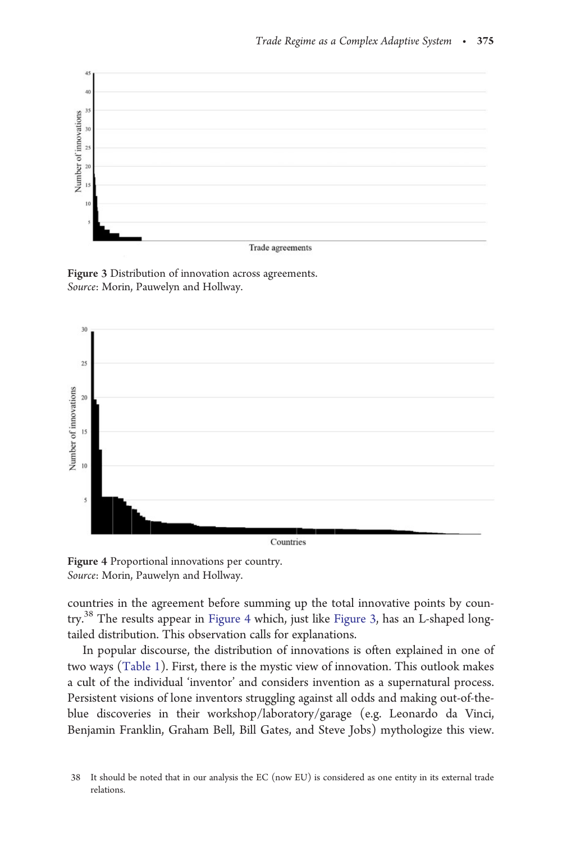<span id="page-10-0"></span>

Figure 3 Distribution of innovation across agreements. Source: Morin, Pauwelyn and Hollway.



Figure 4 Proportional innovations per country. Source: Morin, Pauwelyn and Hollway.

countries in the agreement before summing up the total innovative points by country.<sup>38</sup> The results appear in Figure 4 which, just like Figure 3, has an L-shaped longtailed distribution. This observation calls for explanations.

In popular discourse, the distribution of innovations is often explained in one of two ways [\(Table 1](#page-11-0)). First, there is the mystic view of innovation. This outlook makes a cult of the individual 'inventor' and considers invention as a supernatural process. Persistent visions of lone inventors struggling against all odds and making out-of-theblue discoveries in their workshop/laboratory/garage (e.g. Leonardo da Vinci, Benjamin Franklin, Graham Bell, Bill Gates, and Steve Jobs) mythologize this view.

<sup>38</sup> It should be noted that in our analysis the EC (now EU) is considered as one entity in its external trade relations.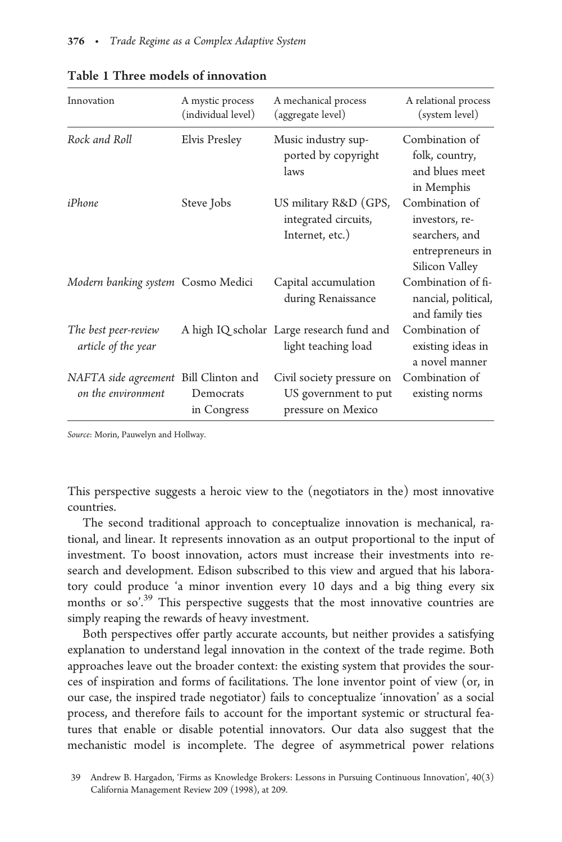| Innovation                                                  | A mystic process<br>(individual level) | A mechanical process<br>(aggregate level)                               | A relational process<br>(system level)                                                   |
|-------------------------------------------------------------|----------------------------------------|-------------------------------------------------------------------------|------------------------------------------------------------------------------------------|
| Rock and Roll                                               | Elvis Presley                          | Music industry sup-<br>ported by copyright<br>laws                      | Combination of<br>folk, country,<br>and blues meet<br>in Memphis                         |
| iPhone                                                      | Steve Jobs                             | US military R&D (GPS,<br>integrated circuits,<br>Internet, etc.)        | Combination of<br>investors, re-<br>searchers, and<br>entrepreneurs in<br>Silicon Valley |
| Modern banking system Cosmo Medici                          |                                        | Capital accumulation<br>during Renaissance                              | Combination of fi-<br>nancial, political,<br>and family ties                             |
| The best peer-review<br>article of the year                 |                                        | A high IQ scholar Large research fund and<br>light teaching load        | Combination of<br>existing ideas in<br>a novel manner                                    |
| NAFTA side agreement Bill Clinton and<br>on the environment | Democrats<br>in Congress               | Civil society pressure on<br>US government to put<br>pressure on Mexico | Combination of<br>existing norms                                                         |

<span id="page-11-0"></span>

| <b>Table 1 Three models of innovation</b> |  |
|-------------------------------------------|--|
|-------------------------------------------|--|

Source: Morin, Pauwelyn and Hollway.

This perspective suggests a heroic view to the (negotiators in the) most innovative countries.

The second traditional approach to conceptualize innovation is mechanical, rational, and linear. It represents innovation as an output proportional to the input of investment. To boost innovation, actors must increase their investments into research and development. Edison subscribed to this view and argued that his laboratory could produce 'a minor invention every 10 days and a big thing every six months or so'.<sup>39</sup> This perspective suggests that the most innovative countries are simply reaping the rewards of heavy investment.

Both perspectives offer partly accurate accounts, but neither provides a satisfying explanation to understand legal innovation in the context of the trade regime. Both approaches leave out the broader context: the existing system that provides the sources of inspiration and forms of facilitations. The lone inventor point of view (or, in our case, the inspired trade negotiator) fails to conceptualize 'innovation' as a social process, and therefore fails to account for the important systemic or structural features that enable or disable potential innovators. Our data also suggest that the mechanistic model is incomplete. The degree of asymmetrical power relations

<sup>39</sup> Andrew B. Hargadon, 'Firms as Knowledge Brokers: Lessons in Pursuing Continuous Innovation', 40(3) California Management Review 209 (1998), at 209.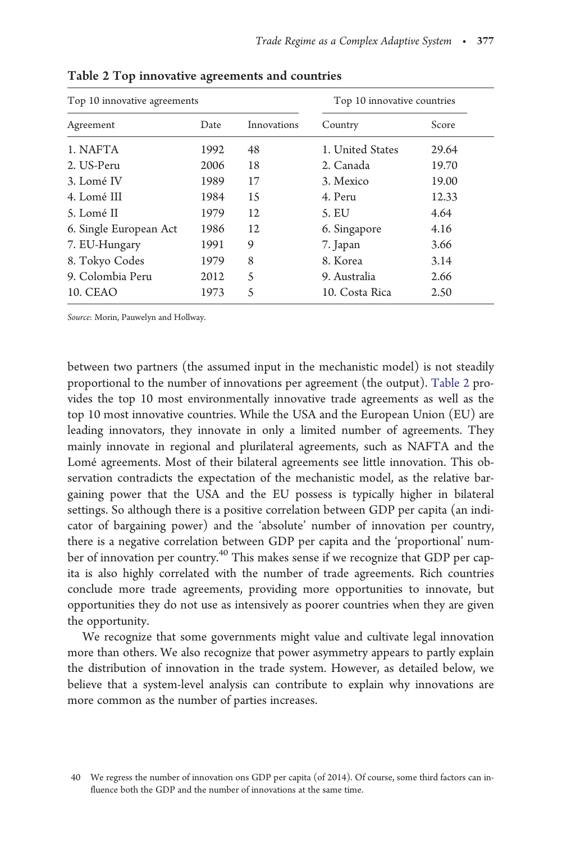| Top 10 innovative agreements |      |             | Top 10 innovative countries |       |
|------------------------------|------|-------------|-----------------------------|-------|
| Agreement                    | Date | Innovations | Country                     | Score |
| 1. NAFTA                     | 1992 | 48          | 1. United States            | 29.64 |
| 2. US-Peru                   | 2006 | 18          | 2. Canada                   | 19.70 |
| 3. Lomé IV                   | 1989 | 17          | 3. Mexico                   | 19.00 |
| 4. Lomé III                  | 1984 | 15          | 4. Peru                     | 12.33 |
| 5. Lomé II                   | 1979 | 12          | 5. EU                       | 4.64  |
| 6. Single European Act       | 1986 | 12          | 6. Singapore                | 4.16  |
| 7. EU-Hungary                | 1991 | 9           | 7. Japan                    | 3.66  |
| 8. Tokyo Codes               | 1979 | 8           | 8. Korea                    | 3.14  |
| 9. Colombia Peru             | 2012 | 5           | 9. Australia                | 2.66  |
| 10. CEAO                     | 1973 | 5           | 10. Costa Rica              | 2.50  |

<span id="page-12-0"></span>Table 2 Top innovative agreements and countries

Source: Morin, Pauwelyn and Hollway.

between two partners (the assumed input in the mechanistic model) is not steadily proportional to the number of innovations per agreement (the output). Table 2 provides the top 10 most environmentally innovative trade agreements as well as the top 10 most innovative countries. While the USA and the European Union (EU) are leading innovators, they innovate in only a limited number of agreements. They mainly innovate in regional and plurilateral agreements, such as NAFTA and the Lomé agreements. Most of their bilateral agreements see little innovation. This observation contradicts the expectation of the mechanistic model, as the relative bargaining power that the USA and the EU possess is typically higher in bilateral settings. So although there is a positive correlation between GDP per capita (an indicator of bargaining power) and the 'absolute' number of innovation per country, there is a negative correlation between GDP per capita and the 'proportional' number of innovation per country.<sup>40</sup> This makes sense if we recognize that GDP per capita is also highly correlated with the number of trade agreements. Rich countries conclude more trade agreements, providing more opportunities to innovate, but opportunities they do not use as intensively as poorer countries when they are given the opportunity.

We recognize that some governments might value and cultivate legal innovation more than others. We also recognize that power asymmetry appears to partly explain the distribution of innovation in the trade system. However, as detailed below, we believe that a system-level analysis can contribute to explain why innovations are more common as the number of parties increases.

<sup>40</sup> We regress the number of innovation ons GDP per capita (of 2014). Of course, some third factors can influence both the GDP and the number of innovations at the same time.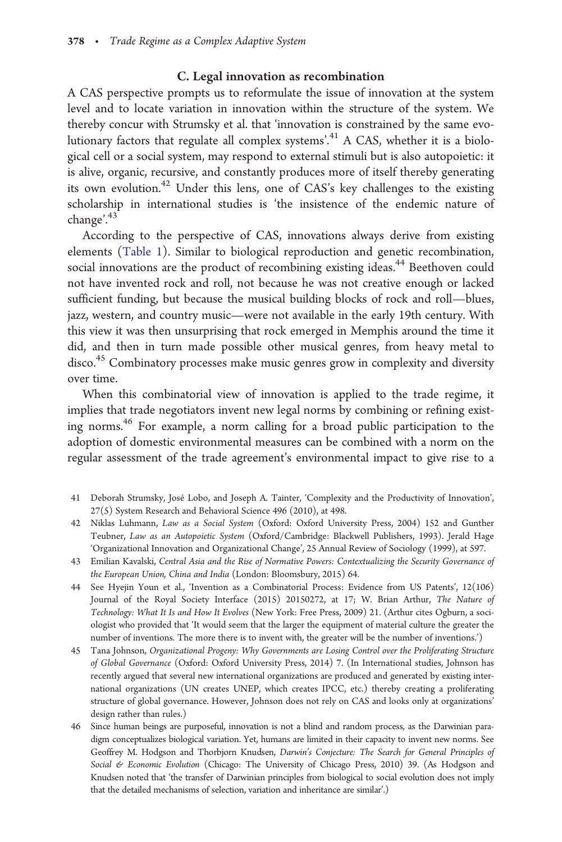#### C. Legal innovation as recombination

A CAS perspective prompts us to reformulate the issue of innovation at the system level and to locate variation in innovation within the structure of the system. We thereby concur with Strumsky et al. that 'innovation is constrained by the same evolutionary factors that regulate all complex systems'.<sup>41</sup> A CAS, whether it is a biological cell or a social system, may respond to external stimuli but is also autopoietic: it is alive, organic, recursive, and constantly produces more of itself thereby generating its own evolution.<sup>42</sup> Under this lens, one of CAS's key challenges to the existing scholarship in international studies is 'the insistence of the endemic nature of change'.<sup>43</sup>

According to the perspective of CAS, innovations always derive from existing elements [\(Table 1\)](#page-11-0). Similar to biological reproduction and genetic recombination, social innovations are the product of recombining existing ideas.<sup>44</sup> Beethoven could not have invented rock and roll, not because he was not creative enough or lacked sufficient funding, but because the musical building blocks of rock and roll—blues, jazz, western, and country music—were not available in the early 19th century. With this view it was then unsurprising that rock emerged in Memphis around the time it did, and then in turn made possible other musical genres, from heavy metal to disco.45 Combinatory processes make music genres grow in complexity and diversity over time.

When this combinatorial view of innovation is applied to the trade regime, it implies that trade negotiators invent new legal norms by combining or refining existing norms.46 For example, a norm calling for a broad public participation to the adoption of domestic environmental measures can be combined with a norm on the regular assessment of the trade agreement's environmental impact to give rise to a

- 41 Deborah Strumsky, Jose´ Lobo, and Joseph A. Tainter, 'Complexity and the Productivity of Innovation', 27(5) System Research and Behavioral Science 496 (2010), at 498.
- 42 Niklas Luhmann, Law as a Social System (Oxford: Oxford University Press, 2004) 152 and Gunther Teubner, Law as an Autopoietic System (Oxford/Cambridge: Blackwell Publishers, 1993). Jerald Hage 'Organizational Innovation and Organizational Change', 25 Annual Review of Sociology (1999), at 597.
- 43 Emilian Kavalski, Central Asia and the Rise of Normative Powers: Contextualizing the Security Governance of the European Union, China and India (London: Bloomsbury, 2015) 64.
- 44 See Hyejin Youn et al., 'Invention as a Combinatorial Process: Evidence from US Patents', 12(106) Journal of the Royal Society Interface (2015) 20150272, at 17; W. Brian Arthur, The Nature of Technology: What It Is and How It Evolves (New York: Free Press, 2009) 21. (Arthur cites Ogburn, a sociologist who provided that 'It would seem that the larger the equipment of material culture the greater the number of inventions. The more there is to invent with, the greater will be the number of inventions.')
- 45 Tana Johnson, Organizational Progeny: Why Governments are Losing Control over the Proliferating Structure of Global Governance (Oxford: Oxford University Press, 2014) 7. (In International studies, Johnson has recently argued that several new international organizations are produced and generated by existing international organizations (UN creates UNEP, which creates IPCC, etc.) thereby creating a proliferating structure of global governance. However, Johnson does not rely on CAS and looks only at organizations' design rather than rules.)
- 46 Since human beings are purposeful, innovation is not a blind and random process, as the Darwinian paradigm conceptualizes biological variation. Yet, humans are limited in their capacity to invent new norms. See Geoffrey M. Hodgson and Thorbjorn Knudsen, Darwin's Conjecture: The Search for General Principles of Social & Economic Evolution (Chicago: The University of Chicago Press, 2010) 39. (As Hodgson and Knudsen noted that 'the transfer of Darwinian principles from biological to social evolution does not imply that the detailed mechanisms of selection, variation and inheritance are similar'.)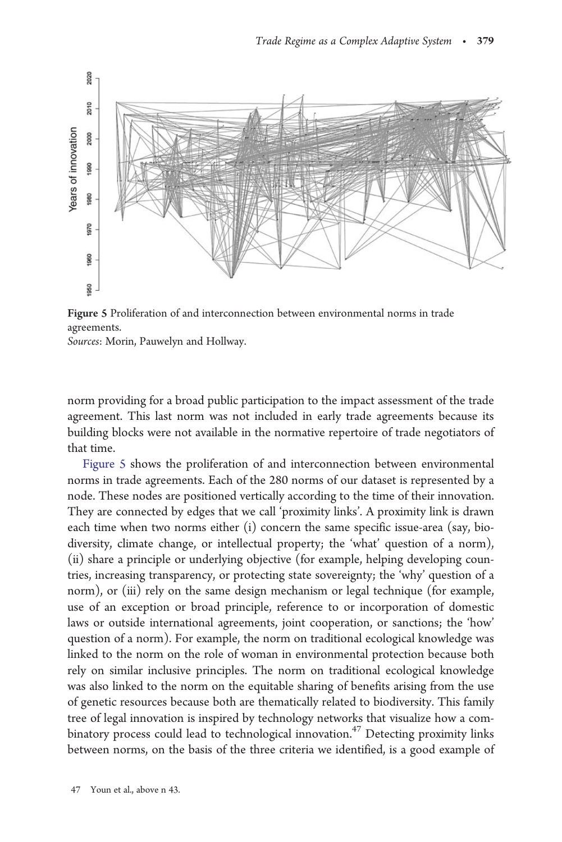

Figure 5 Proliferation of and interconnection between environmental norms in trade agreements.

Sources: Morin, Pauwelyn and Hollway.

norm providing for a broad public participation to the impact assessment of the trade agreement. This last norm was not included in early trade agreements because its building blocks were not available in the normative repertoire of trade negotiators of that time.

Figure 5 shows the proliferation of and interconnection between environmental norms in trade agreements. Each of the 280 norms of our dataset is represented by a node. These nodes are positioned vertically according to the time of their innovation. They are connected by edges that we call 'proximity links'. A proximity link is drawn each time when two norms either (i) concern the same specific issue-area (say, biodiversity, climate change, or intellectual property; the 'what' question of a norm), (ii) share a principle or underlying objective (for example, helping developing countries, increasing transparency, or protecting state sovereignty; the 'why' question of a norm), or (iii) rely on the same design mechanism or legal technique (for example, use of an exception or broad principle, reference to or incorporation of domestic laws or outside international agreements, joint cooperation, or sanctions; the 'how' question of a norm). For example, the norm on traditional ecological knowledge was linked to the norm on the role of woman in environmental protection because both rely on similar inclusive principles. The norm on traditional ecological knowledge was also linked to the norm on the equitable sharing of benefits arising from the use of genetic resources because both are thematically related to biodiversity. This family tree of legal innovation is inspired by technology networks that visualize how a combinatory process could lead to technological innovation.<sup>47</sup> Detecting proximity links between norms, on the basis of the three criteria we identified, is a good example of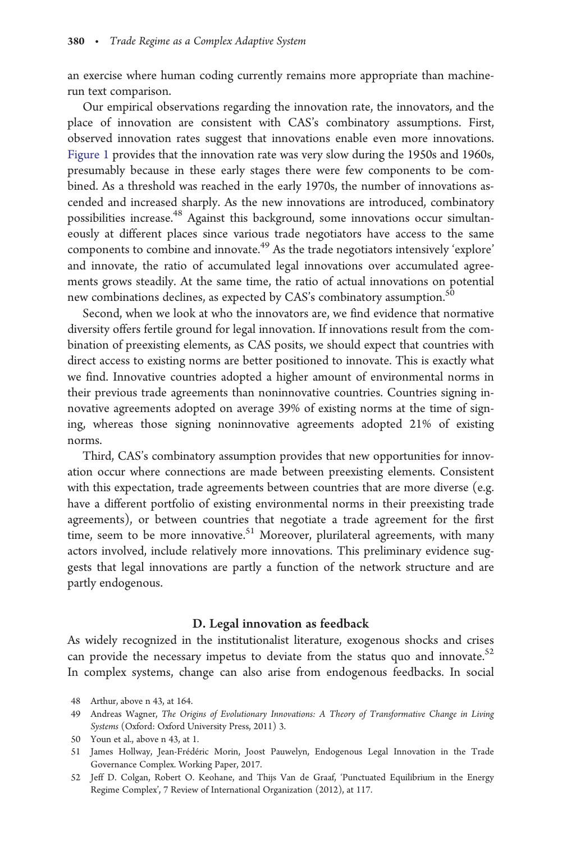an exercise where human coding currently remains more appropriate than machinerun text comparison.

Our empirical observations regarding the innovation rate, the innovators, and the place of innovation are consistent with CAS's combinatory assumptions. First, observed innovation rates suggest that innovations enable even more innovations. [Figure 1](#page-8-0) provides that the innovation rate was very slow during the 1950s and 1960s, presumably because in these early stages there were few components to be combined. As a threshold was reached in the early 1970s, the number of innovations ascended and increased sharply. As the new innovations are introduced, combinatory possibilities increase.<sup>48</sup> Against this background, some innovations occur simultaneously at different places since various trade negotiators have access to the same components to combine and innovate.49 As the trade negotiators intensively 'explore' and innovate, the ratio of accumulated legal innovations over accumulated agreements grows steadily. At the same time, the ratio of actual innovations on potential new combinations declines, as expected by CAS's combinatory assumption.<sup>50</sup>

Second, when we look at who the innovators are, we find evidence that normative diversity offers fertile ground for legal innovation. If innovations result from the combination of preexisting elements, as CAS posits, we should expect that countries with direct access to existing norms are better positioned to innovate. This is exactly what we find. Innovative countries adopted a higher amount of environmental norms in their previous trade agreements than noninnovative countries. Countries signing innovative agreements adopted on average 39% of existing norms at the time of signing, whereas those signing noninnovative agreements adopted 21% of existing norms.

Third, CAS's combinatory assumption provides that new opportunities for innovation occur where connections are made between preexisting elements. Consistent with this expectation, trade agreements between countries that are more diverse (e.g. have a different portfolio of existing environmental norms in their preexisting trade agreements), or between countries that negotiate a trade agreement for the first time, seem to be more innovative.<sup>51</sup> Moreover, plurilateral agreements, with many actors involved, include relatively more innovations. This preliminary evidence suggests that legal innovations are partly a function of the network structure and are partly endogenous.

#### D. Legal innovation as feedback

As widely recognized in the institutionalist literature, exogenous shocks and crises can provide the necessary impetus to deviate from the status quo and innovate.<sup>52</sup> In complex systems, change can also arise from endogenous feedbacks. In social

<sup>48</sup> Arthur, above n 43, at 164.

<sup>49</sup> Andreas Wagner, The Origins of Evolutionary Innovations: A Theory of Transformative Change in Living Systems (Oxford: Oxford University Press, 2011) 3.

<sup>50</sup> Youn et al., above n 43, at 1.

<sup>51</sup> James Hollway, Jean-Frédéric Morin, Joost Pauwelyn, Endogenous Legal Innovation in the Trade Governance Complex. Working Paper, 2017.

<sup>52</sup> Jeff D. Colgan, Robert O. Keohane, and Thijs Van de Graaf, 'Punctuated Equilibrium in the Energy Regime Complex', 7 Review of International Organization (2012), at 117.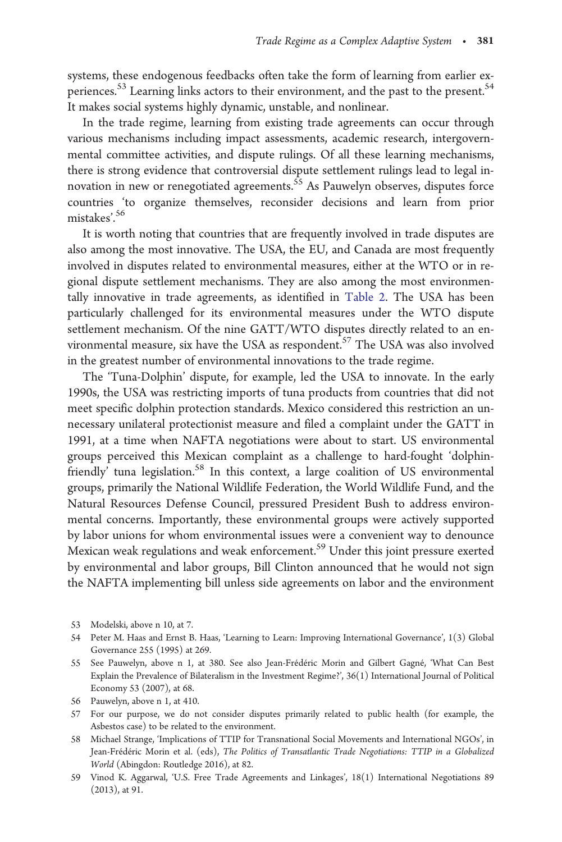systems, these endogenous feedbacks often take the form of learning from earlier experiences.<sup>53</sup> Learning links actors to their environment, and the past to the present.<sup>54</sup> It makes social systems highly dynamic, unstable, and nonlinear.

In the trade regime, learning from existing trade agreements can occur through various mechanisms including impact assessments, academic research, intergovernmental committee activities, and dispute rulings. Of all these learning mechanisms, there is strong evidence that controversial dispute settlement rulings lead to legal innovation in new or renegotiated agreements.<sup>55</sup> As Pauwelyn observes, disputes force countries 'to organize themselves, reconsider decisions and learn from prior mistakes'.<sup>56</sup>

It is worth noting that countries that are frequently involved in trade disputes are also among the most innovative. The USA, the EU, and Canada are most frequently involved in disputes related to environmental measures, either at the WTO or in regional dispute settlement mechanisms. They are also among the most environmentally innovative in trade agreements, as identified in [Table 2](#page-12-0). The USA has been particularly challenged for its environmental measures under the WTO dispute settlement mechanism. Of the nine GATT/WTO disputes directly related to an environmental measure, six have the USA as respondent.<sup>57</sup> The USA was also involved in the greatest number of environmental innovations to the trade regime.

The 'Tuna-Dolphin' dispute, for example, led the USA to innovate. In the early 1990s, the USA was restricting imports of tuna products from countries that did not meet specific dolphin protection standards. Mexico considered this restriction an unnecessary unilateral protectionist measure and filed a complaint under the GATT in 1991, at a time when NAFTA negotiations were about to start. US environmental groups perceived this Mexican complaint as a challenge to hard-fought 'dolphinfriendly' tuna legislation.<sup>58</sup> In this context, a large coalition of US environmental groups, primarily the National Wildlife Federation, the World Wildlife Fund, and the Natural Resources Defense Council, pressured President Bush to address environmental concerns. Importantly, these environmental groups were actively supported by labor unions for whom environmental issues were a convenient way to denounce Mexican weak regulations and weak enforcement.59 Under this joint pressure exerted by environmental and labor groups, Bill Clinton announced that he would not sign the NAFTA implementing bill unless side agreements on labor and the environment

- 53 Modelski, above n 10, at 7.
- 54 Peter M. Haas and Ernst B. Haas, 'Learning to Learn: Improving International Governance', 1(3) Global Governance 255 (1995) at 269.
- 55 See Pauwelyn, above n 1, at 380. See also Jean-Frédéric Morin and Gilbert Gagné, 'What Can Best Explain the Prevalence of Bilateralism in the Investment Regime?', 36(1) International Journal of Political Economy 53 (2007), at 68.
- 56 Pauwelyn, above n 1, at 410.
- 57 For our purpose, we do not consider disputes primarily related to public health (for example, the Asbestos case) to be related to the environment.
- 58 Michael Strange, 'Implications of TTIP for Transnational Social Movements and International NGOs', in Jean-Frédéric Morin et al. (eds), The Politics of Transatlantic Trade Negotiations: TTIP in a Globalized World (Abingdon: Routledge 2016), at 82.
- 59 Vinod K. Aggarwal, 'U.S. Free Trade Agreements and Linkages', 18(1) International Negotiations 89 (2013), at 91.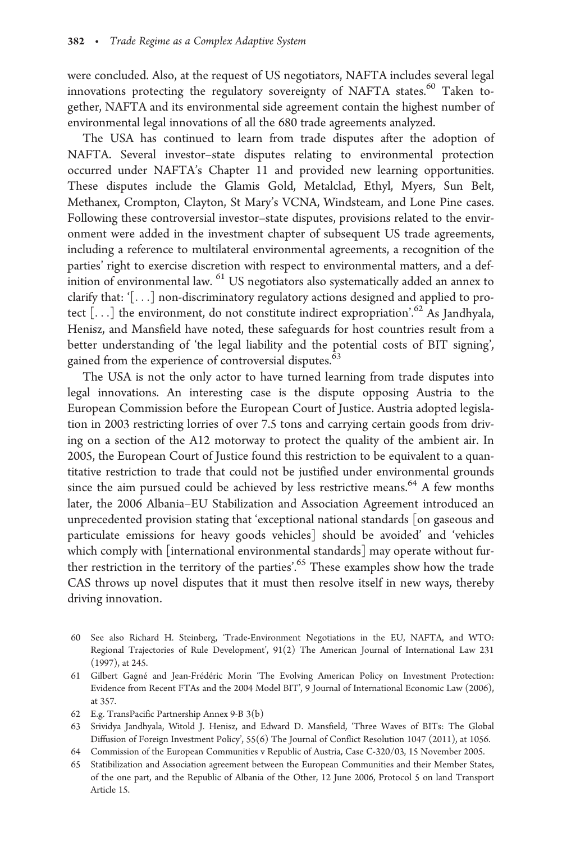were concluded. Also, at the request of US negotiators, NAFTA includes several legal innovations protecting the regulatory sovereignty of NAFTA states.<sup>60</sup> Taken together, NAFTA and its environmental side agreement contain the highest number of environmental legal innovations of all the 680 trade agreements analyzed.

The USA has continued to learn from trade disputes after the adoption of NAFTA. Several investor–state disputes relating to environmental protection occurred under NAFTA's Chapter 11 and provided new learning opportunities. These disputes include the Glamis Gold, Metalclad, Ethyl, Myers, Sun Belt, Methanex, Crompton, Clayton, St Mary's VCNA, Windsteam, and Lone Pine cases. Following these controversial investor–state disputes, provisions related to the environment were added in the investment chapter of subsequent US trade agreements, including a reference to multilateral environmental agreements, a recognition of the parties' right to exercise discretion with respect to environmental matters, and a definition of environmental law. <sup>61</sup> US negotiators also systematically added an annex to clarify that: '[...] non-discriminatory regulatory actions designed and applied to protect  $[...]$  the environment, do not constitute indirect expropriation'.<sup>62</sup> As Jandhyala, Henisz, and Mansfield have noted, these safeguards for host countries result from a better understanding of 'the legal liability and the potential costs of BIT signing', gained from the experience of controversial disputes.<sup>63</sup>

The USA is not the only actor to have turned learning from trade disputes into legal innovations. An interesting case is the dispute opposing Austria to the European Commission before the European Court of Justice. Austria adopted legislation in 2003 restricting lorries of over 7.5 tons and carrying certain goods from driving on a section of the A12 motorway to protect the quality of the ambient air. In 2005, the European Court of Justice found this restriction to be equivalent to a quantitative restriction to trade that could not be justified under environmental grounds since the aim pursued could be achieved by less restrictive means.<sup>64</sup> A few months later, the 2006 Albania–EU Stabilization and Association Agreement introduced an unprecedented provision stating that 'exceptional national standards [on gaseous and particulate emissions for heavy goods vehicles] should be avoided' and 'vehicles which comply with [international environmental standards] may operate without further restriction in the territory of the parties'.<sup>65</sup> These examples show how the trade CAS throws up novel disputes that it must then resolve itself in new ways, thereby driving innovation.

- 60 See also Richard H. Steinberg, 'Trade-Environment Negotiations in the EU, NAFTA, and WTO: Regional Trajectories of Rule Development', 91(2) The American Journal of International Law 231 (1997), at 245.
- 61 Gilbert Gagné and Jean-Frédéric Morin 'The Evolving American Policy on Investment Protection: Evidence from Recent FTAs and the 2004 Model BIT', 9 Journal of International Economic Law (2006), at 357.
- 62 E.g. TransPacific Partnership Annex 9-B 3(b)
- 63 Srividya Jandhyala, Witold J. Henisz, and Edward D. Mansfield, 'Three Waves of BITs: The Global Diffusion of Foreign Investment Policy', 55(6) The Journal of Conflict Resolution 1047 (2011), at 1056.
- 64 Commission of the European Communities v Republic of Austria, Case C-320/03, 15 November 2005.

65 Statibilization and Association agreement between the European Communities and their Member States, of the one part, and the Republic of Albania of the Other, 12 June 2006, Protocol 5 on land Transport Article 15.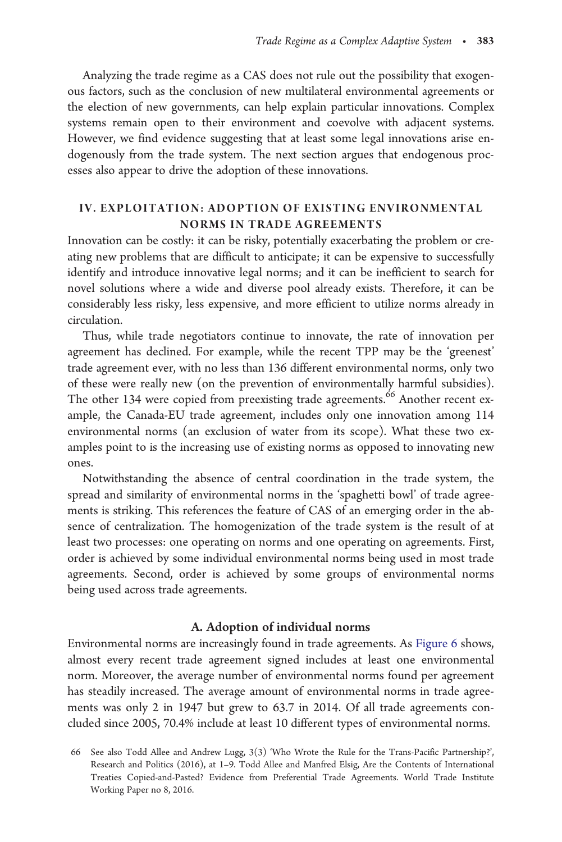Analyzing the trade regime as a CAS does not rule out the possibility that exogenous factors, such as the conclusion of new multilateral environmental agreements or the election of new governments, can help explain particular innovations. Complex systems remain open to their environment and coevolve with adjacent systems. However, we find evidence suggesting that at least some legal innovations arise endogenously from the trade system. The next section argues that endogenous processes also appear to drive the adoption of these innovations.

## IV. EXPLOITATION: ADOPTION OF EXISTING ENVIRONMENTAL NORMS IN TRADE AGREEMENTS

Innovation can be costly: it can be risky, potentially exacerbating the problem or creating new problems that are difficult to anticipate; it can be expensive to successfully identify and introduce innovative legal norms; and it can be inefficient to search for novel solutions where a wide and diverse pool already exists. Therefore, it can be considerably less risky, less expensive, and more efficient to utilize norms already in circulation.

Thus, while trade negotiators continue to innovate, the rate of innovation per agreement has declined. For example, while the recent TPP may be the 'greenest' trade agreement ever, with no less than 136 different environmental norms, only two of these were really new (on the prevention of environmentally harmful subsidies). The other 134 were copied from preexisting trade agreements.<sup>66</sup> Another recent example, the Canada-EU trade agreement, includes only one innovation among 114 environmental norms (an exclusion of water from its scope). What these two examples point to is the increasing use of existing norms as opposed to innovating new ones.

Notwithstanding the absence of central coordination in the trade system, the spread and similarity of environmental norms in the 'spaghetti bowl' of trade agreements is striking. This references the feature of CAS of an emerging order in the absence of centralization. The homogenization of the trade system is the result of at least two processes: one operating on norms and one operating on agreements. First, order is achieved by some individual environmental norms being used in most trade agreements. Second, order is achieved by some groups of environmental norms being used across trade agreements.

#### A. Adoption of individual norms

Environmental norms are increasingly found in trade agreements. As [Figure 6](#page-19-0) shows, almost every recent trade agreement signed includes at least one environmental norm. Moreover, the average number of environmental norms found per agreement has steadily increased. The average amount of environmental norms in trade agreements was only 2 in 1947 but grew to 63.7 in 2014. Of all trade agreements concluded since 2005, 70.4% include at least 10 different types of environmental norms.

<sup>66</sup> See also Todd Allee and Andrew Lugg, 3(3) 'Who Wrote the Rule for the Trans-Pacific Partnership?', Research and Politics (2016), at 1–9. Todd Allee and Manfred Elsig, Are the Contents of International Treaties Copied-and-Pasted? Evidence from Preferential Trade Agreements. World Trade Institute Working Paper no 8, 2016.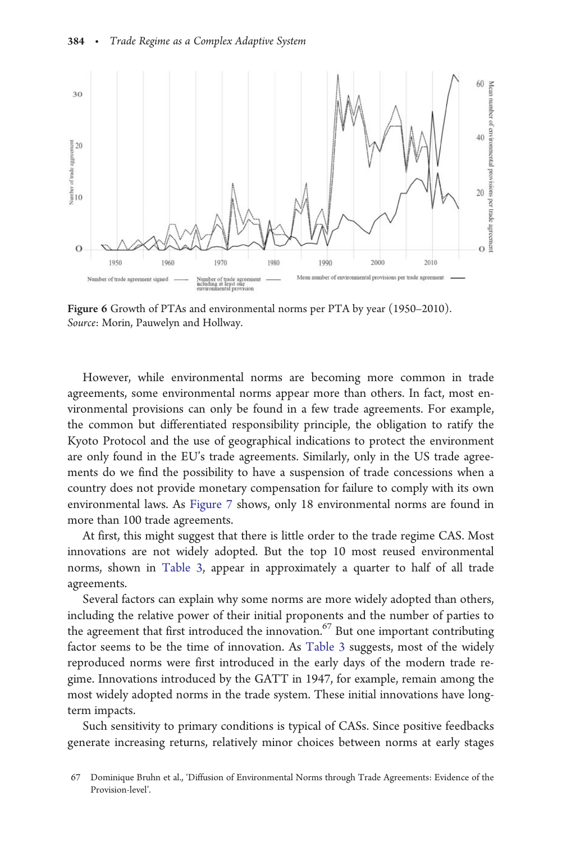<span id="page-19-0"></span>

Figure 6 Growth of PTAs and environmental norms per PTA by year (1950–2010). Source: Morin, Pauwelyn and Hollway.

However, while environmental norms are becoming more common in trade agreements, some environmental norms appear more than others. In fact, most environmental provisions can only be found in a few trade agreements. For example, the common but differentiated responsibility principle, the obligation to ratify the Kyoto Protocol and the use of geographical indications to protect the environment are only found in the EU's trade agreements. Similarly, only in the US trade agreements do we find the possibility to have a suspension of trade concessions when a country does not provide monetary compensation for failure to comply with its own environmental laws. As [Figure 7](#page-20-0) shows, only 18 environmental norms are found in more than 100 trade agreements.

At first, this might suggest that there is little order to the trade regime CAS. Most innovations are not widely adopted. But the top 10 most reused environmental norms, shown in [Table 3,](#page-20-0) appear in approximately a quarter to half of all trade agreements.

Several factors can explain why some norms are more widely adopted than others, including the relative power of their initial proponents and the number of parties to the agreement that first introduced the innovation.<sup>67</sup> But one important contributing factor seems to be the time of innovation. As [Table 3](#page-20-0) suggests, most of the widely reproduced norms were first introduced in the early days of the modern trade regime. Innovations introduced by the GATT in 1947, for example, remain among the most widely adopted norms in the trade system. These initial innovations have longterm impacts.

Such sensitivity to primary conditions is typical of CASs. Since positive feedbacks generate increasing returns, relatively minor choices between norms at early stages

<sup>67</sup> Dominique Bruhn et al., 'Diffusion of Environmental Norms through Trade Agreements: Evidence of the Provision-level'.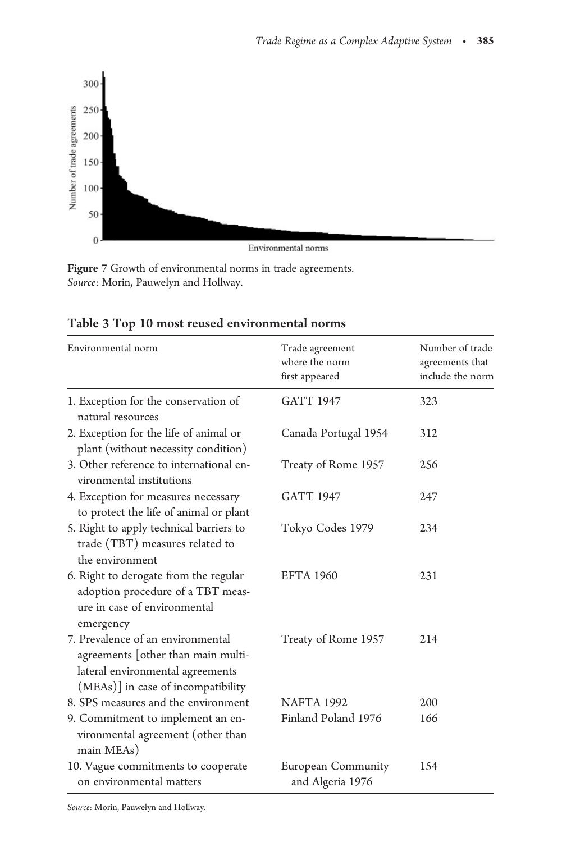<span id="page-20-0"></span>

Figure 7 Growth of environmental norms in trade agreements. Source: Morin, Pauwelyn and Hollway.

| Environmental norm                                                                                                                                | Trade agreement<br>where the norm<br>first appeared | Number of trade<br>agreements that<br>include the norm |
|---------------------------------------------------------------------------------------------------------------------------------------------------|-----------------------------------------------------|--------------------------------------------------------|
| 1. Exception for the conservation of<br>natural resources                                                                                         | <b>GATT 1947</b>                                    | 323                                                    |
| 2. Exception for the life of animal or<br>plant (without necessity condition)                                                                     | Canada Portugal 1954                                | 312                                                    |
| 3. Other reference to international en-<br>vironmental institutions                                                                               | Treaty of Rome 1957                                 | 256                                                    |
| 4. Exception for measures necessary<br>to protect the life of animal or plant                                                                     | <b>GATT 1947</b>                                    | 247                                                    |
| 5. Right to apply technical barriers to<br>trade (TBT) measures related to<br>the environment                                                     | Tokyo Codes 1979                                    | 234                                                    |
| 6. Right to derogate from the regular<br>adoption procedure of a TBT meas-<br>ure in case of environmental<br>emergency                           | EFTA 1960                                           | 231                                                    |
| 7. Prevalence of an environmental<br>agreements [other than main multi-<br>lateral environmental agreements<br>(MEAs)] in case of incompatibility | Treaty of Rome 1957                                 | 214                                                    |
| 8. SPS measures and the environment                                                                                                               | <b>NAFTA 1992</b>                                   | 200                                                    |
| 9. Commitment to implement an en-<br>vironmental agreement (other than<br>main MEAs)                                                              | Finland Poland 1976                                 | 166                                                    |
| 10. Vague commitments to cooperate<br>on environmental matters                                                                                    | <b>European Community</b><br>and Algeria 1976       | 154                                                    |

# Table 3 Top 10 most reused environmental norms

Source: Morin, Pauwelyn and Hollway.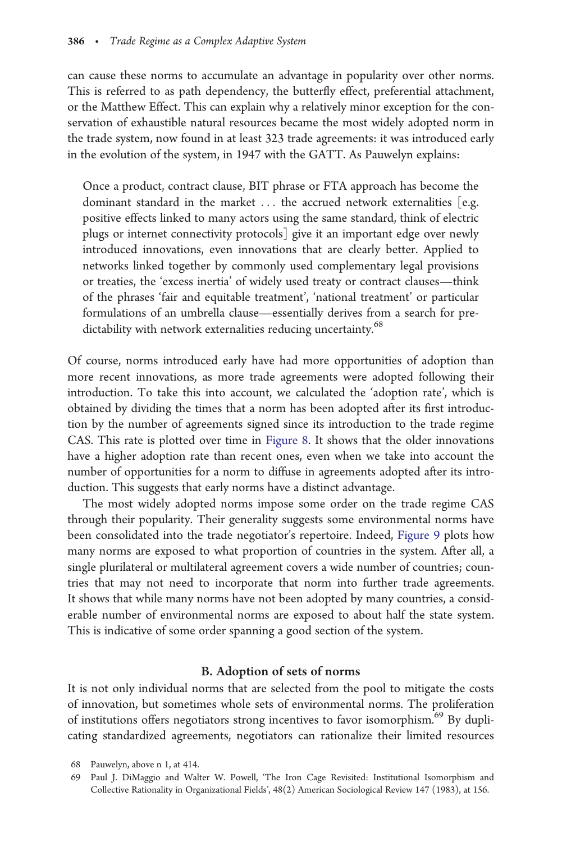can cause these norms to accumulate an advantage in popularity over other norms. This is referred to as path dependency, the butterfly effect, preferential attachment, or the Matthew Effect. This can explain why a relatively minor exception for the conservation of exhaustible natural resources became the most widely adopted norm in the trade system, now found in at least 323 trade agreements: it was introduced early in the evolution of the system, in 1947 with the GATT. As Pauwelyn explains:

Once a product, contract clause, BIT phrase or FTA approach has become the dominant standard in the market ... the accrued network externalities [e.g. positive effects linked to many actors using the same standard, think of electric plugs or internet connectivity protocols] give it an important edge over newly introduced innovations, even innovations that are clearly better. Applied to networks linked together by commonly used complementary legal provisions or treaties, the 'excess inertia' of widely used treaty or contract clauses—think of the phrases 'fair and equitable treatment', 'national treatment' or particular formulations of an umbrella clause—essentially derives from a search for predictability with network externalities reducing uncertainty.<sup>68</sup>

Of course, norms introduced early have had more opportunities of adoption than more recent innovations, as more trade agreements were adopted following their introduction. To take this into account, we calculated the 'adoption rate', which is obtained by dividing the times that a norm has been adopted after its first introduction by the number of agreements signed since its introduction to the trade regime CAS. This rate is plotted over time in [Figure 8.](#page-22-0) It shows that the older innovations have a higher adoption rate than recent ones, even when we take into account the number of opportunities for a norm to diffuse in agreements adopted after its introduction. This suggests that early norms have a distinct advantage.

The most widely adopted norms impose some order on the trade regime CAS through their popularity. Their generality suggests some environmental norms have been consolidated into the trade negotiator's repertoire. Indeed, [Figure 9](#page-22-0) plots how many norms are exposed to what proportion of countries in the system. After all, a single plurilateral or multilateral agreement covers a wide number of countries; countries that may not need to incorporate that norm into further trade agreements. It shows that while many norms have not been adopted by many countries, a considerable number of environmental norms are exposed to about half the state system. This is indicative of some order spanning a good section of the system.

#### B. Adoption of sets of norms

It is not only individual norms that are selected from the pool to mitigate the costs of innovation, but sometimes whole sets of environmental norms. The proliferation of institutions offers negotiators strong incentives to favor isomorphism.<sup>69</sup> By duplicating standardized agreements, negotiators can rationalize their limited resources

<sup>68</sup> Pauwelyn, above n 1, at 414.

<sup>69</sup> Paul J. DiMaggio and Walter W. Powell, 'The Iron Cage Revisited: Institutional Isomorphism and Collective Rationality in Organizational Fields', 48(2) American Sociological Review 147 (1983), at 156.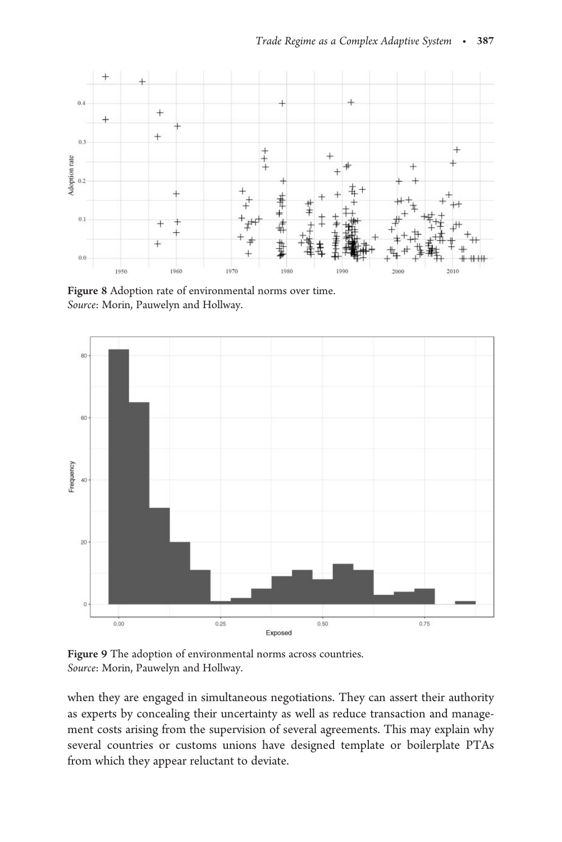<span id="page-22-0"></span>

Figure 8 Adoption rate of environmental norms over time. Source: Morin, Pauwelyn and Hollway.



Figure 9 The adoption of environmental norms across countries. Source: Morin, Pauwelyn and Hollway.

when they are engaged in simultaneous negotiations. They can assert their authority as experts by concealing their uncertainty as well as reduce transaction and management costs arising from the supervision of several agreements. This may explain why several countries or customs unions have designed template or boilerplate PTAs from which they appear reluctant to deviate.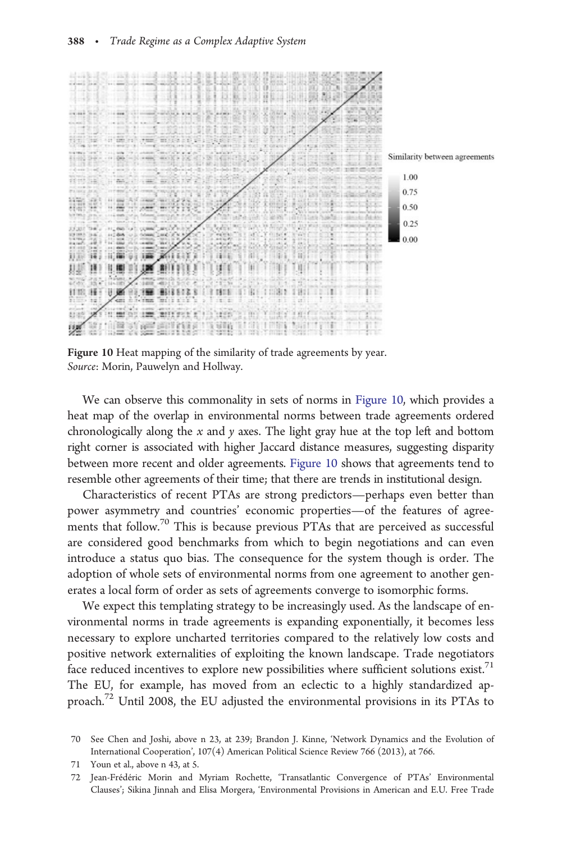

Figure 10 Heat mapping of the similarity of trade agreements by year. Source: Morin, Pauwelyn and Hollway.

We can observe this commonality in sets of norms in Figure 10, which provides a heat map of the overlap in environmental norms between trade agreements ordered chronologically along the  $x$  and  $y$  axes. The light gray hue at the top left and bottom right corner is associated with higher Jaccard distance measures, suggesting disparity between more recent and older agreements. Figure 10 shows that agreements tend to resemble other agreements of their time; that there are trends in institutional design.

Characteristics of recent PTAs are strong predictors—perhaps even better than power asymmetry and countries' economic properties—of the features of agreements that follow.<sup>70</sup> This is because previous PTAs that are perceived as successful are considered good benchmarks from which to begin negotiations and can even introduce a status quo bias. The consequence for the system though is order. The adoption of whole sets of environmental norms from one agreement to another generates a local form of order as sets of agreements converge to isomorphic forms.

We expect this templating strategy to be increasingly used. As the landscape of environmental norms in trade agreements is expanding exponentially, it becomes less necessary to explore uncharted territories compared to the relatively low costs and positive network externalities of exploiting the known landscape. Trade negotiators face reduced incentives to explore new possibilities where sufficient solutions exist.<sup>71</sup> The EU, for example, has moved from an eclectic to a highly standardized approach.72 Until 2008, the EU adjusted the environmental provisions in its PTAs to

<sup>70</sup> See Chen and Joshi, above n 23, at 239; Brandon J. Kinne, 'Network Dynamics and the Evolution of International Cooperation', 107(4) American Political Science Review 766 (2013), at 766.

<sup>71</sup> Youn et al., above n 43, at 5.

<sup>72</sup> Jean-Frédéric Morin and Myriam Rochette, 'Transatlantic Convergence of PTAs' Environmental Clauses'; Sikina Jinnah and Elisa Morgera, 'Environmental Provisions in American and E.U. Free Trade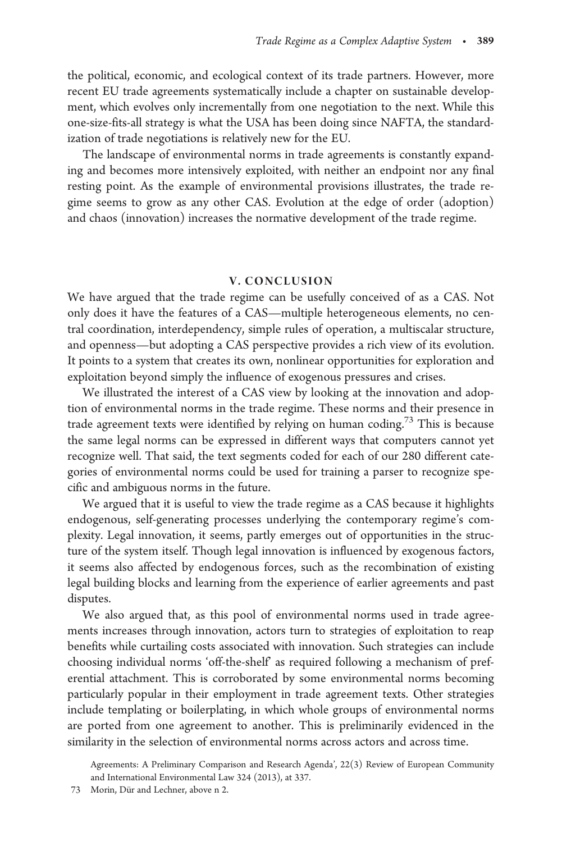the political, economic, and ecological context of its trade partners. However, more recent EU trade agreements systematically include a chapter on sustainable development, which evolves only incrementally from one negotiation to the next. While this one-size-fits-all strategy is what the USA has been doing since NAFTA, the standardization of trade negotiations is relatively new for the EU.

The landscape of environmental norms in trade agreements is constantly expanding and becomes more intensively exploited, with neither an endpoint nor any final resting point. As the example of environmental provisions illustrates, the trade regime seems to grow as any other CAS. Evolution at the edge of order (adoption) and chaos (innovation) increases the normative development of the trade regime.

#### V. CONCLUSION

We have argued that the trade regime can be usefully conceived of as a CAS. Not only does it have the features of a CAS—multiple heterogeneous elements, no central coordination, interdependency, simple rules of operation, a multiscalar structure, and openness—but adopting a CAS perspective provides a rich view of its evolution. It points to a system that creates its own, nonlinear opportunities for exploration and exploitation beyond simply the influence of exogenous pressures and crises.

We illustrated the interest of a CAS view by looking at the innovation and adoption of environmental norms in the trade regime. These norms and their presence in trade agreement texts were identified by relying on human coding.<sup>73</sup> This is because the same legal norms can be expressed in different ways that computers cannot yet recognize well. That said, the text segments coded for each of our 280 different categories of environmental norms could be used for training a parser to recognize specific and ambiguous norms in the future.

We argued that it is useful to view the trade regime as a CAS because it highlights endogenous, self-generating processes underlying the contemporary regime's complexity. Legal innovation, it seems, partly emerges out of opportunities in the structure of the system itself. Though legal innovation is influenced by exogenous factors, it seems also affected by endogenous forces, such as the recombination of existing legal building blocks and learning from the experience of earlier agreements and past disputes.

We also argued that, as this pool of environmental norms used in trade agreements increases through innovation, actors turn to strategies of exploitation to reap benefits while curtailing costs associated with innovation. Such strategies can include choosing individual norms 'off-the-shelf' as required following a mechanism of preferential attachment. This is corroborated by some environmental norms becoming particularly popular in their employment in trade agreement texts. Other strategies include templating or boilerplating, in which whole groups of environmental norms are ported from one agreement to another. This is preliminarily evidenced in the similarity in the selection of environmental norms across actors and across time.

Agreements: A Preliminary Comparison and Research Agenda', 22(3) Review of European Community and International Environmental Law 324 (2013), at 337.